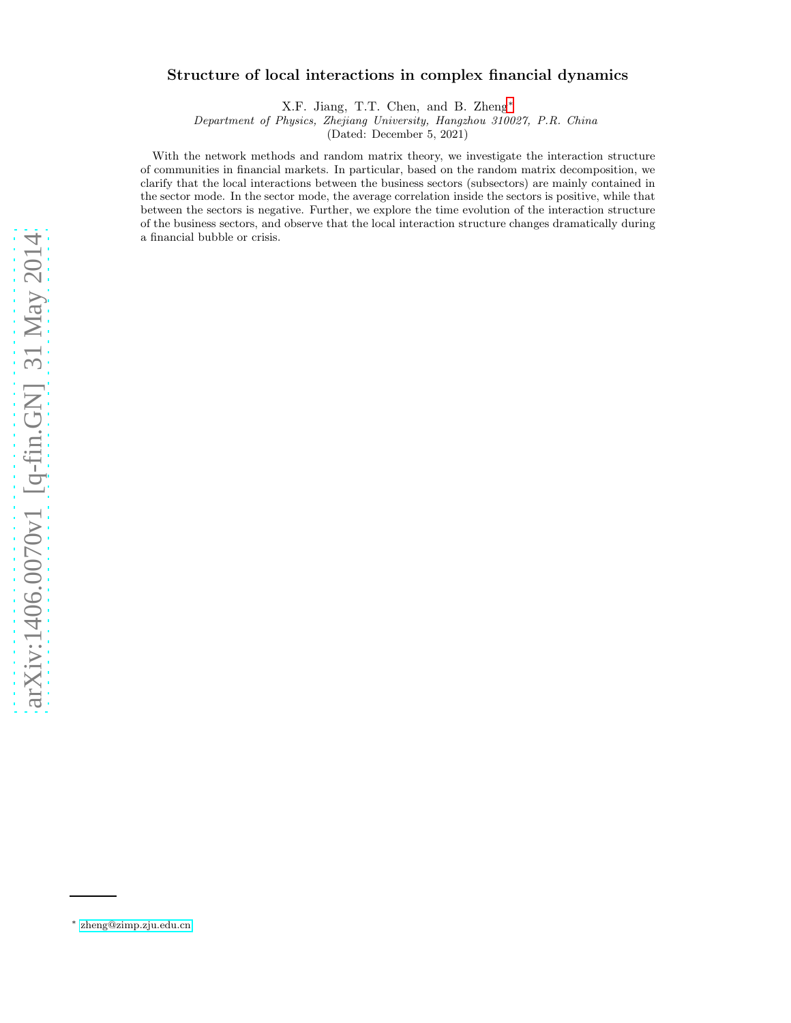# arXiv:1406.0070v1 [q-fin.GN] 31 May 2014 [arXiv:1406.0070v1 \[q-fin.GN\] 31 May 2014](http://arxiv.org/abs/1406.0070v1)

# Structure of local interactions in complex financial dynamics

X.F. Jiang, T.T. Chen, and B. Zheng[∗](#page-0-0)

Department of Physics, Zhejiang University, Hangzhou 310027, P.R. China

(Dated: December 5, 2021)

With the network methods and random matrix theory, we investigate the interaction structure of communities in financial markets. In particular, based on the random matrix decomposition, we clarify that the local interactions between the business sectors (subsectors) are mainly contained in the sector mode. In the sector mode, the average correlation inside the sectors is positive, while that between the sectors is negative. Further, we explore the time evolution of the interaction structure of the business sectors, and observe that the local interaction structure changes dramatically during a financial bubble or crisis.

<span id="page-0-0"></span><sup>∗</sup> [zheng@zimp.zju.edu.cn](mailto:zheng@zimp.zju.edu.cn)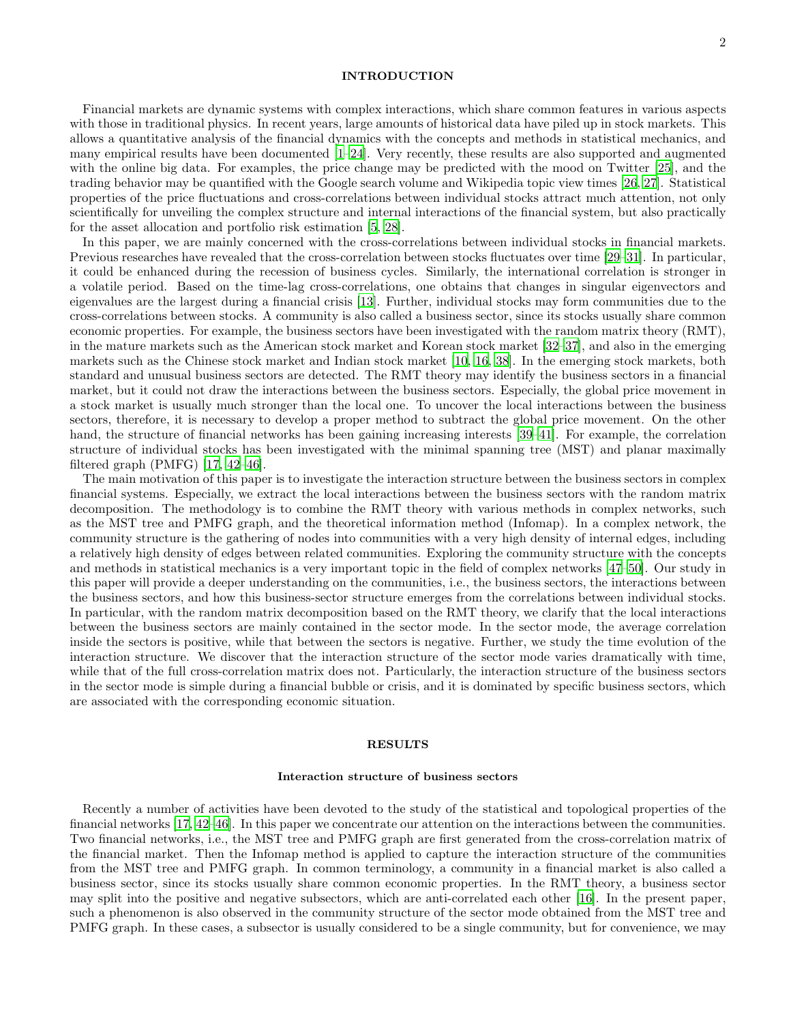# INTRODUCTION

Financial markets are dynamic systems with complex interactions, which share common features in various aspects with those in traditional physics. In recent years, large amounts of historical data have piled up in stock markets. This allows a quantitative analysis of the financial dynamics with the concepts and methods in statistical mechanics, and many empirical results have been documented [\[1](#page-11-0)[–24](#page-12-0)]. Very recently, these results are also supported and augmented with the online big data. For examples, the price change may be predicted with the mood on Twitter [\[25](#page-12-1)], and the trading behavior may be quantified with the Google search volume and Wikipedia topic view times [\[26](#page-12-2), [27\]](#page-12-3). Statistical properties of the price fluctuations and cross-correlations between individual stocks attract much attention, not only scientifically for unveiling the complex structure and internal interactions of the financial system, but also practically for the asset allocation and portfolio risk estimation [\[5](#page-11-1), [28](#page-12-4)].

In this paper, we are mainly concerned with the cross-correlations between individual stocks in financial markets. Previous researches have revealed that the cross-correlation between stocks fluctuates over time [\[29](#page-12-5)[–31\]](#page-12-6). In particular, it could be enhanced during the recession of business cycles. Similarly, the international correlation is stronger in a volatile period. Based on the time-lag cross-correlations, one obtains that changes in singular eigenvectors and eigenvalues are the largest during a financial crisis [\[13\]](#page-11-2). Further, individual stocks may form communities due to the cross-correlations between stocks. A community is also called a business sector, since its stocks usually share common economic properties. For example, the business sectors have been investigated with the random matrix theory (RMT), in the mature markets such as the American stock market and Korean stock market [\[32](#page-12-7)[–37\]](#page-12-8), and also in the emerging markets such as the Chinese stock market and Indian stock market [\[10](#page-11-3), [16,](#page-12-9) [38\]](#page-12-10). In the emerging stock markets, both standard and unusual business sectors are detected. The RMT theory may identify the business sectors in a financial market, but it could not draw the interactions between the business sectors. Especially, the global price movement in a stock market is usually much stronger than the local one. To uncover the local interactions between the business sectors, therefore, it is necessary to develop a proper method to subtract the global price movement. On the other hand, the structure of financial networks has been gaining increasing interests [\[39](#page-12-11)[–41\]](#page-12-12). For example, the correlation structure of individual stocks has been investigated with the minimal spanning tree (MST) and planar maximally filtered graph (PMFG) [\[17,](#page-12-13) [42](#page-12-14)[–46\]](#page-12-15).

The main motivation of this paper is to investigate the interaction structure between the business sectors in complex financial systems. Especially, we extract the local interactions between the business sectors with the random matrix decomposition. The methodology is to combine the RMT theory with various methods in complex networks, such as the MST tree and PMFG graph, and the theoretical information method (Infomap). In a complex network, the community structure is the gathering of nodes into communities with a very high density of internal edges, including a relatively high density of edges between related communities. Exploring the community structure with the concepts and methods in statistical mechanics is a very important topic in the field of complex networks [\[47](#page-12-16)[–50\]](#page-12-17). Our study in this paper will provide a deeper understanding on the communities, i.e., the business sectors, the interactions between the business sectors, and how this business-sector structure emerges from the correlations between individual stocks. In particular, with the random matrix decomposition based on the RMT theory, we clarify that the local interactions between the business sectors are mainly contained in the sector mode. In the sector mode, the average correlation inside the sectors is positive, while that between the sectors is negative. Further, we study the time evolution of the interaction structure. We discover that the interaction structure of the sector mode varies dramatically with time, while that of the full cross-correlation matrix does not. Particularly, the interaction structure of the business sectors in the sector mode is simple during a financial bubble or crisis, and it is dominated by specific business sectors, which are associated with the corresponding economic situation.

# RESULTS

### Interaction structure of business sectors

Recently a number of activities have been devoted to the study of the statistical and topological properties of the financial networks [\[17,](#page-12-13) [42](#page-12-14)[–46\]](#page-12-15). In this paper we concentrate our attention on the interactions between the communities. Two financial networks, i.e., the MST tree and PMFG graph are first generated from the cross-correlation matrix of the financial market. Then the Infomap method is applied to capture the interaction structure of the communities from the MST tree and PMFG graph. In common terminology, a community in a financial market is also called a business sector, since its stocks usually share common economic properties. In the RMT theory, a business sector may split into the positive and negative subsectors, which are anti-correlated each other [\[16\]](#page-12-9). In the present paper, such a phenomenon is also observed in the community structure of the sector mode obtained from the MST tree and PMFG graph. In these cases, a subsector is usually considered to be a single community, but for convenience, we may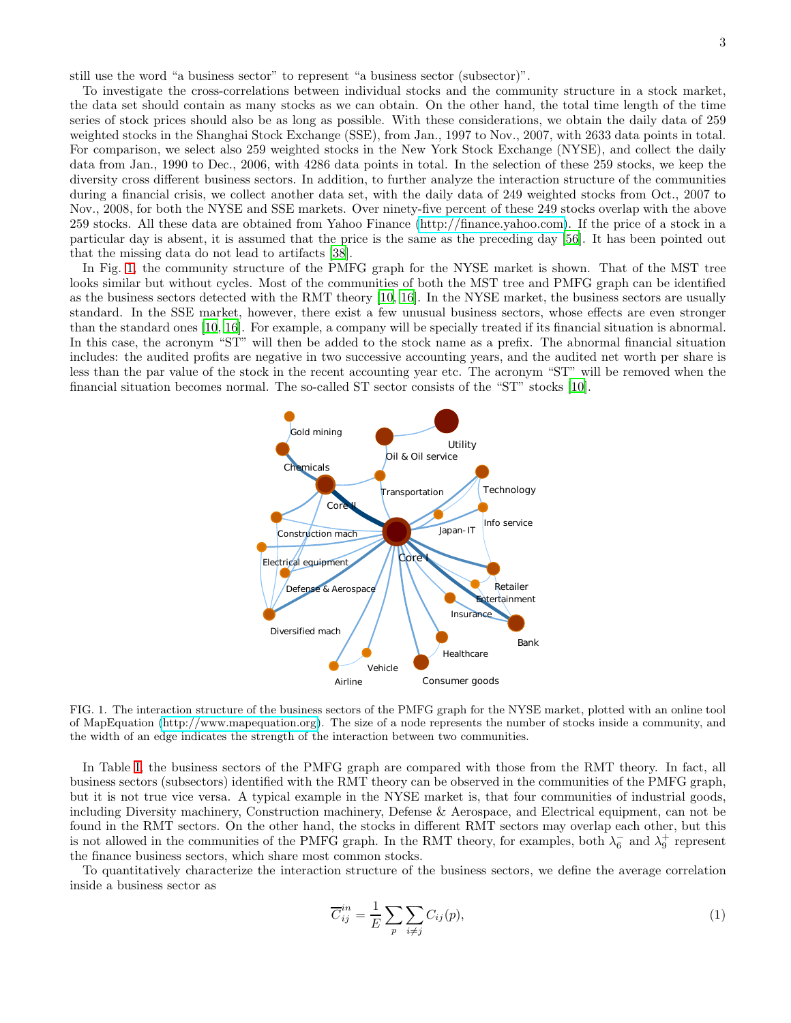still use the word "a business sector" to represent "a business sector (subsector)".

To investigate the cross-correlations between individual stocks and the community structure in a stock market, the data set should contain as many stocks as we can obtain. On the other hand, the total time length of the time series of stock prices should also be as long as possible. With these considerations, we obtain the daily data of 259 weighted stocks in the Shanghai Stock Exchange (SSE), from Jan., 1997 to Nov., 2007, with 2633 data points in total. For comparison, we select also 259 weighted stocks in the New York Stock Exchange (NYSE), and collect the daily data from Jan., 1990 to Dec., 2006, with 4286 data points in total. In the selection of these 259 stocks, we keep the diversity cross different business sectors. In addition, to further analyze the interaction structure of the communities during a financial crisis, we collect another data set, with the daily data of 249 weighted stocks from Oct., 2007 to Nov., 2008, for both the NYSE and SSE markets. Over ninety-five percent of these 249 stocks overlap with the above 259 stocks. All these data are obtained from Yahoo Finance [\(http://finance.yahoo.com\)](http://finance.yahoo.com). If the price of a stock in a particular day is absent, it is assumed that the price is the same as the preceding day [\[56](#page-13-0)]. It has been pointed out that the missing data do not lead to artifacts [\[38\]](#page-12-10).

In Fig. [1,](#page-2-0) the community structure of the PMFG graph for the NYSE market is shown. That of the MST tree looks similar but without cycles. Most of the communities of both the MST tree and PMFG graph can be identified as the business sectors detected with the RMT theory [\[10,](#page-11-3) [16\]](#page-12-9). In the NYSE market, the business sectors are usually standard. In the SSE market, however, there exist a few unusual business sectors, whose effects are even stronger than the standard ones [\[10,](#page-11-3) [16](#page-12-9)]. For example, a company will be specially treated if its financial situation is abnormal. In this case, the acronym "ST" will then be added to the stock name as a prefix. The abnormal financial situation includes: the audited profits are negative in two successive accounting years, and the audited net worth per share is less than the par value of the stock in the recent accounting year etc. The acronym "ST" will be removed when the financial situation becomes normal. The so-called ST sector consists of the "ST" stocks [\[10](#page-11-3)].



<span id="page-2-0"></span>FIG. 1. The interaction structure of the business sectors of the PMFG graph for the NYSE market, plotted with an online tool of MapEquation [\(http://www.mapequation.org\)](http://www.mapequation.org). The size of a node represents the number of stocks inside a community, and the width of an edge indicates the strength of the interaction between two communities.

In Table [I,](#page-13-1) the business sectors of the PMFG graph are compared with those from the RMT theory. In fact, all business sectors (subsectors) identified with the RMT theory can be observed in the communities of the PMFG graph, but it is not true vice versa. A typical example in the NYSE market is, that four communities of industrial goods, including Diversity machinery, Construction machinery, Defense & Aerospace, and Electrical equipment, can not be found in the RMT sectors. On the other hand, the stocks in different RMT sectors may overlap each other, but this is not allowed in the communities of the PMFG graph. In the RMT theory, for examples, both  $\lambda_6^-$  and  $\lambda_9^+$  represent the finance business sectors, which share most common stocks.

To quantitatively characterize the interaction structure of the business sectors, we define the average correlation inside a business sector as

<span id="page-2-1"></span>
$$
\overline{C}_{ij}^{in} = \frac{1}{E} \sum_{p} \sum_{i \neq j} C_{ij}(p), \tag{1}
$$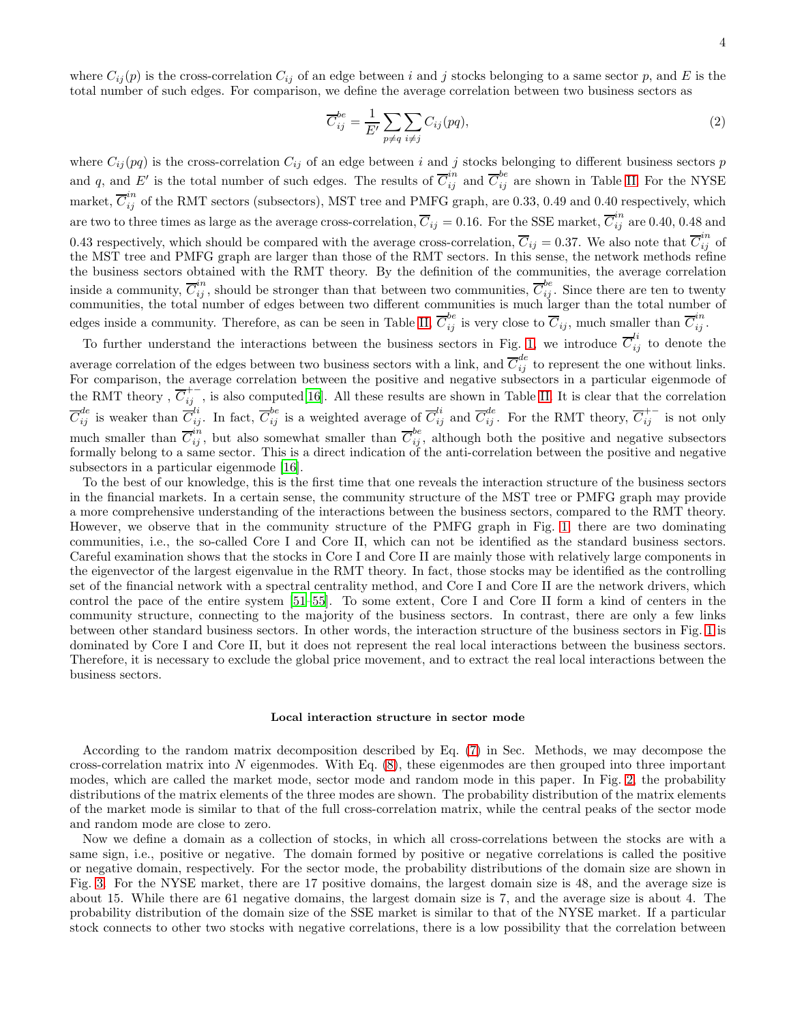where  $C_{ij}(p)$  is the cross-correlation  $C_{ij}$  of an edge between i and j stocks belonging to a same sector p, and E is the total number of such edges. For comparison, we define the average correlation between two business sectors as

<span id="page-3-0"></span>
$$
\overline{C}_{ij}^{be} = \frac{1}{E'} \sum_{p \neq q} \sum_{i \neq j} C_{ij}(pq), \tag{2}
$$

where  $C_{ij}(pq)$  is the cross-correlation  $C_{ij}$  of an edge between i and j stocks belonging to different business sectors p and q, and E' is the total number of such edges. The results of  $\overline{C}_{ij}^{in}$  and  $\overline{C}_{ij}^{be}$  are shown in Table [II.](#page-13-2) For the NYSE market,  $\overline{C}_{ij}^{in}$  of the RMT sectors (subsectors), MST tree and PMFG graph, are 0.33, 0.49 and 0.40 respectively, which are two to three times as large as the average cross-correlation,  $\overline{C}_{ij} = 0.16$ . For the SSE market,  $\overline{C}_{ij}^{in}$  are 0.40, 0.48 and 0.43 respectively, which should be compared with the average cross-correlation,  $\overline{C}_{ij} = 0.37$ . We also note that  $\overline{C}_{ij}^{in}$  of the MST tree and PMFG graph are larger than those of the RMT sectors. In this sense, the network methods refine the business sectors obtained with the RMT theory. By the definition of the communities, the average correlation inside a community,  $\overline{C}_{ij}^{in}$ , should be stronger than that between two communities,  $\overline{C}_{ij}^{be}$ . Since there are ten to twenty communities, the total number of edges between two different communities is much larger than the total number of edges inside a community. Therefore, as can be seen in Table [II,](#page-13-2)  $\overline{C}_{ij}^{be}$  is very close to  $\overline{C}_{ij}$ , much smaller than  $\overline{C}_{ij}^{in}$ .

To further understand the interactions between the business sectors in Fig. [1,](#page-2-0) we introduce  $\overline{C}_{ij}^{li}$  to denote the average correlation of the edges between two business sectors with a link, and  $\overline{C}_{ij}^{de}$  to represent the one without links. For comparison, the average correlation between the positive and negative subsectors in a particular eigenmode of the RMT theory,  $\overline{C}_{ij}^{+-}$ , is also computed[\[16](#page-12-9)]. All these results are shown in Table [II.](#page-13-2) It is clear that the correlation  $\overline{C}_{ij}^{de}$  is weaker than  $\overline{C}_{ij}^{li}$ . In fact,  $\overline{C}_{ij}^{be}$  is a weighted average of  $\overline{C}_{ij}^{li}$  and  $\overline{C}_{ij}^{de}$ . For the RMT theory,  $\overline{C}_{ij}^{+-}$  is not only much smaller than  $\overline{C}_{ij}^{in}$ , but also somewhat smaller than  $\overline{C}_{ij}^{be}$ , although both the positive and negative subsectors formally belong to a same sector. This is a direct indication of the anti-correlation between the positive and negative subsectors in a particular eigenmode [\[16\]](#page-12-9).

To the best of our knowledge, this is the first time that one reveals the interaction structure of the business sectors in the financial markets. In a certain sense, the community structure of the MST tree or PMFG graph may provide a more comprehensive understanding of the interactions between the business sectors, compared to the RMT theory. However, we observe that in the community structure of the PMFG graph in Fig. [1,](#page-2-0) there are two dominating communities, i.e., the so-called Core I and Core II, which can not be identified as the standard business sectors. Careful examination shows that the stocks in Core I and Core II are mainly those with relatively large components in the eigenvector of the largest eigenvalue in the RMT theory. In fact, those stocks may be identified as the controlling set of the financial network with a spectral centrality method, and Core I and Core II are the network drivers, which control the pace of the entire system [\[51](#page-12-18)[–55\]](#page-13-3). To some extent, Core I and Core II form a kind of centers in the community structure, connecting to the majority of the business sectors. In contrast, there are only a few links between other standard business sectors. In other words, the interaction structure of the business sectors in Fig. [1](#page-2-0) is dominated by Core I and Core II, but it does not represent the real local interactions between the business sectors. Therefore, it is necessary to exclude the global price movement, and to extract the real local interactions between the business sectors.

### Local interaction structure in sector mode

According to the random matrix decomposition described by Eq. [\(7\)](#page-10-0) in Sec. Methods, we may decompose the cross-correlation matrix into  $N$  eigenmodes. With Eq.  $(8)$ , these eigenmodes are then grouped into three important modes, which are called the market mode, sector mode and random mode in this paper. In Fig. [2,](#page-4-0) the probability distributions of the matrix elements of the three modes are shown. The probability distribution of the matrix elements of the market mode is similar to that of the full cross-correlation matrix, while the central peaks of the sector mode and random mode are close to zero.

Now we define a domain as a collection of stocks, in which all cross-correlations between the stocks are with a same sign, i.e., positive or negative. The domain formed by positive or negative correlations is called the positive or negative domain, respectively. For the sector mode, the probability distributions of the domain size are shown in Fig. [3.](#page-4-1) For the NYSE market, there are 17 positive domains, the largest domain size is 48, and the average size is about 15. While there are 61 negative domains, the largest domain size is 7, and the average size is about 4. The probability distribution of the domain size of the SSE market is similar to that of the NYSE market. If a particular stock connects to other two stocks with negative correlations, there is a low possibility that the correlation between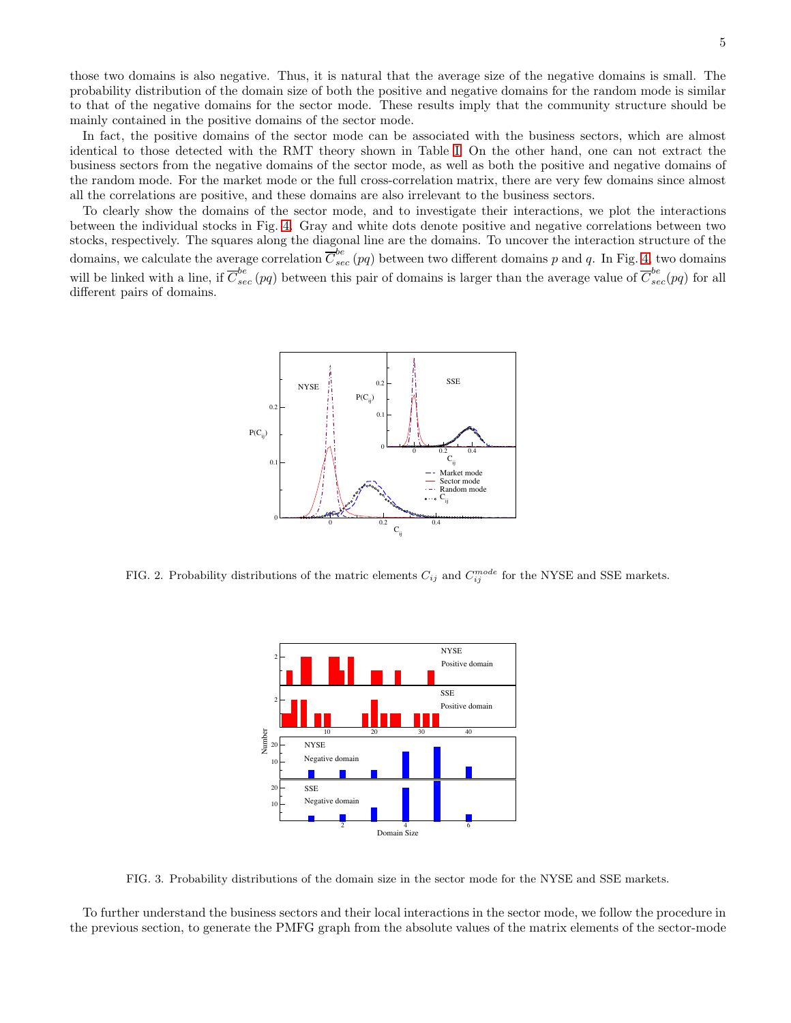those two domains is also negative. Thus, it is natural that the average size of the negative domains is small. The probability distribution of the domain size of both the positive and negative domains for the random mode is similar to that of the negative domains for the sector mode. These results imply that the community structure should be mainly contained in the positive domains of the sector mode.

In fact, the positive domains of the sector mode can be associated with the business sectors, which are almost identical to those detected with the RMT theory shown in Table [I.](#page-13-1) On the other hand, one can not extract the business sectors from the negative domains of the sector mode, as well as both the positive and negative domains of the random mode. For the market mode or the full cross-correlation matrix, there are very few domains since almost all the correlations are positive, and these domains are also irrelevant to the business sectors.

To clearly show the domains of the sector mode, and to investigate their interactions, we plot the interactions between the individual stocks in Fig. [4.](#page-5-0) Gray and white dots denote positive and negative correlations between two stocks, respectively. The squares along the diagonal line are the domains. To uncover the interaction structure of the domains, we calculate the average correlation  $\overline{C}_{sec}^{be}$  (pq) between two different domains p and q. In Fig. [4,](#page-5-0) two domains will be linked with a line, if  $\overline{C}_{sec}^{be}(pq)$  between this pair of domains is larger than the average value of  $\overline{C}_{sec}^{be}(pq)$  for all different pairs of domains.



<span id="page-4-0"></span>FIG. 2. Probability distributions of the matric elements  $C_{ij}$  and  $C_{ij}^{mode}$  for the NYSE and SSE markets.



<span id="page-4-1"></span>FIG. 3. Probability distributions of the domain size in the sector mode for the NYSE and SSE markets.

To further understand the business sectors and their local interactions in the sector mode, we follow the procedure in the previous section, to generate the PMFG graph from the absolute values of the matrix elements of the sector-mode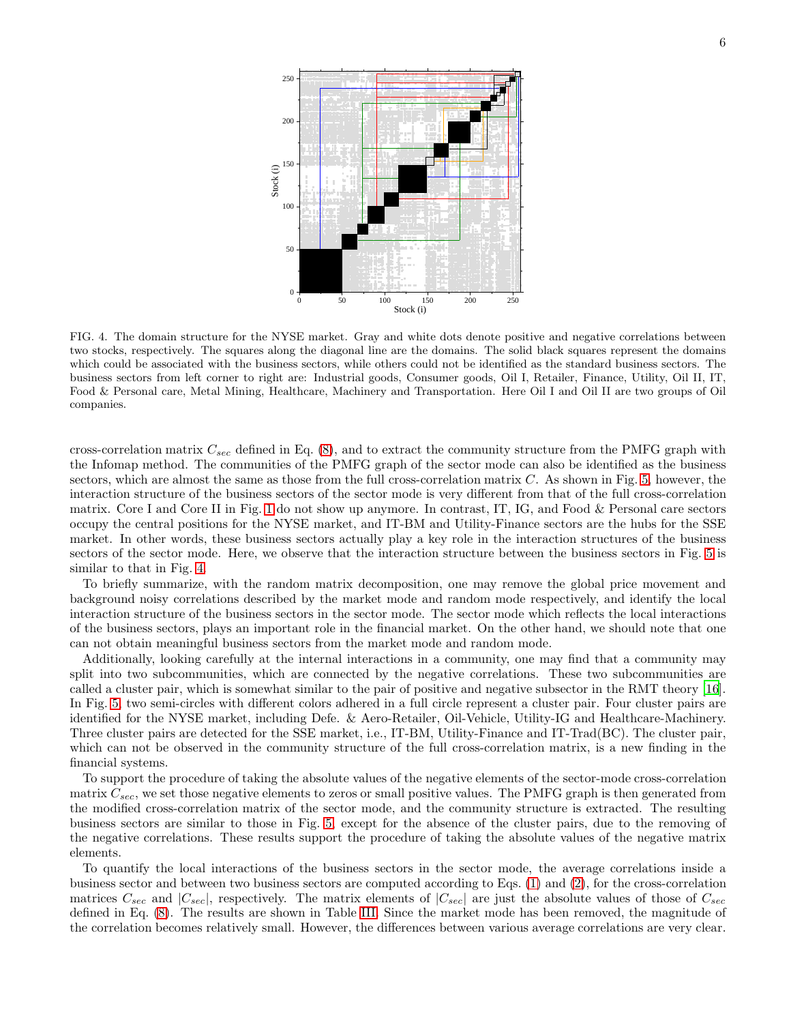

<span id="page-5-0"></span>FIG. 4. The domain structure for the NYSE market. Gray and white dots denote positive and negative correlations between two stocks, respectively. The squares along the diagonal line are the domains. The solid black squares represent the domains which could be associated with the business sectors, while others could not be identified as the standard business sectors. The business sectors from left corner to right are: Industrial goods, Consumer goods, Oil I, Retailer, Finance, Utility, Oil II, IT, Food & Personal care, Metal Mining, Healthcare, Machinery and Transportation. Here Oil I and Oil II are two groups of Oil companies.

cross-correlation matrix  $C_{sec}$  defined in Eq. [\(8\)](#page-10-1), and to extract the community structure from the PMFG graph with the Infomap method. The communities of the PMFG graph of the sector mode can also be identified as the business sectors, which are almost the same as those from the full cross-correlation matrix  $C$ . As shown in Fig. [5,](#page-6-0) however, the interaction structure of the business sectors of the sector mode is very different from that of the full cross-correlation matrix. Core I and Core II in Fig. [1](#page-2-0) do not show up anymore. In contrast, IT, IG, and Food & Personal care sectors occupy the central positions for the NYSE market, and IT-BM and Utility-Finance sectors are the hubs for the SSE market. In other words, these business sectors actually play a key role in the interaction structures of the business sectors of the sector mode. Here, we observe that the interaction structure between the business sectors in Fig. [5](#page-6-0) is similar to that in Fig. [4.](#page-5-0)

To briefly summarize, with the random matrix decomposition, one may remove the global price movement and background noisy correlations described by the market mode and random mode respectively, and identify the local interaction structure of the business sectors in the sector mode. The sector mode which reflects the local interactions of the business sectors, plays an important role in the financial market. On the other hand, we should note that one can not obtain meaningful business sectors from the market mode and random mode.

Additionally, looking carefully at the internal interactions in a community, one may find that a community may split into two subcommunities, which are connected by the negative correlations. These two subcommunities are called a cluster pair, which is somewhat similar to the pair of positive and negative subsector in the RMT theory [\[16\]](#page-12-9). In Fig. [5,](#page-6-0) two semi-circles with different colors adhered in a full circle represent a cluster pair. Four cluster pairs are identified for the NYSE market, including Defe. & Aero-Retailer, Oil-Vehicle, Utility-IG and Healthcare-Machinery. Three cluster pairs are detected for the SSE market, i.e., IT-BM, Utility-Finance and IT-Trad(BC). The cluster pair, which can not be observed in the community structure of the full cross-correlation matrix, is a new finding in the financial systems.

To support the procedure of taking the absolute values of the negative elements of the sector-mode cross-correlation matrix  $C_{sec}$ , we set those negative elements to zeros or small positive values. The PMFG graph is then generated from the modified cross-correlation matrix of the sector mode, and the community structure is extracted. The resulting business sectors are similar to those in Fig. [5,](#page-6-0) except for the absence of the cluster pairs, due to the removing of the negative correlations. These results support the procedure of taking the absolute values of the negative matrix elements.

To quantify the local interactions of the business sectors in the sector mode, the average correlations inside a business sector and between two business sectors are computed according to Eqs. [\(1\)](#page-2-1) and [\(2\)](#page-3-0), for the cross-correlation matrices  $C_{sec}$  and  $|C_{sec}|$ , respectively. The matrix elements of  $|C_{sec}|$  are just the absolute values of those of  $C_{sec}$ defined in Eq. [\(8\)](#page-10-1). The results are shown in Table [III.](#page-14-0) Since the market mode has been removed, the magnitude of the correlation becomes relatively small. However, the differences between various average correlations are very clear.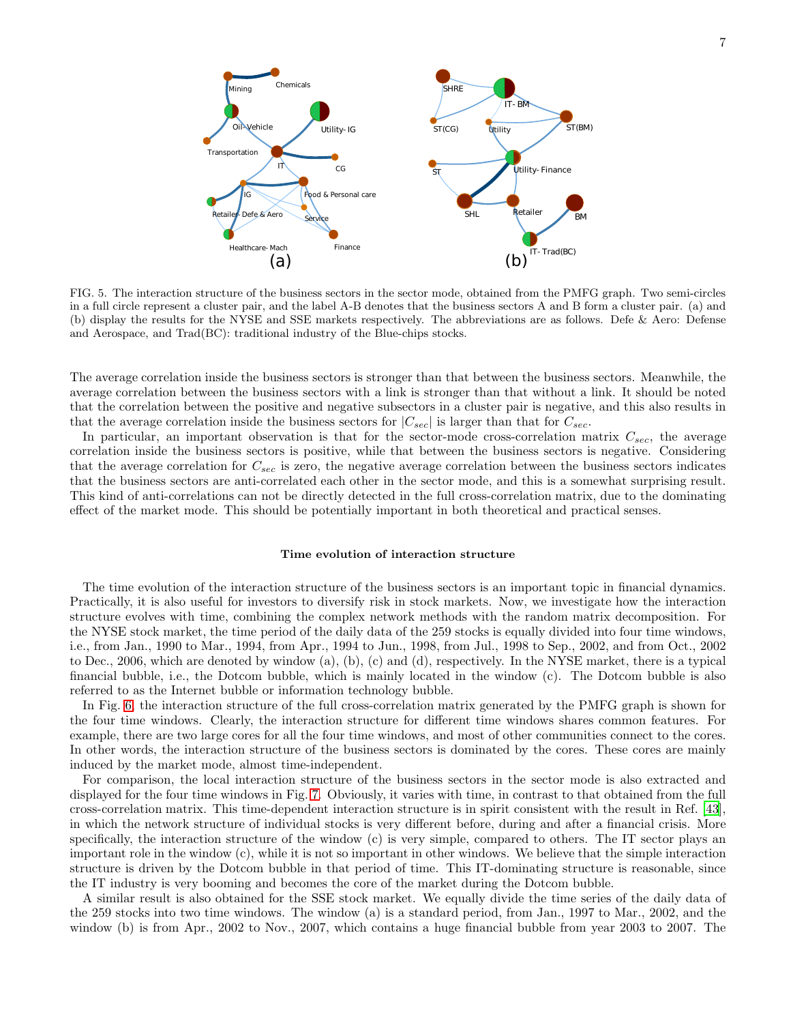

<span id="page-6-0"></span>FIG. 5. The interaction structure of the business sectors in the sector mode, obtained from the PMFG graph. Two semi-circles in a full circle represent a cluster pair, and the label A-B denotes that the business sectors A and B form a cluster pair. (a) and (b) display the results for the NYSE and SSE markets respectively. The abbreviations are as follows. Defe & Aero: Defense and Aerospace, and Trad(BC): traditional industry of the Blue-chips stocks.

The average correlation inside the business sectors is stronger than that between the business sectors. Meanwhile, the average correlation between the business sectors with a link is stronger than that without a link. It should be noted that the correlation between the positive and negative subsectors in a cluster pair is negative, and this also results in that the average correlation inside the business sectors for  $|C_{sec}|$  is larger than that for  $C_{sec}$ .

In particular, an important observation is that for the sector-mode cross-correlation matrix  $C_{sec}$ , the average correlation inside the business sectors is positive, while that between the business sectors is negative. Considering that the average correlation for  $C_{sec}$  is zero, the negative average correlation between the business sectors indicates that the business sectors are anti-correlated each other in the sector mode, and this is a somewhat surprising result. This kind of anti-correlations can not be directly detected in the full cross-correlation matrix, due to the dominating effect of the market mode. This should be potentially important in both theoretical and practical senses.

### Time evolution of interaction structure

The time evolution of the interaction structure of the business sectors is an important topic in financial dynamics. Practically, it is also useful for investors to diversify risk in stock markets. Now, we investigate how the interaction structure evolves with time, combining the complex network methods with the random matrix decomposition. For the NYSE stock market, the time period of the daily data of the 259 stocks is equally divided into four time windows, i.e., from Jan., 1990 to Mar., 1994, from Apr., 1994 to Jun., 1998, from Jul., 1998 to Sep., 2002, and from Oct., 2002 to Dec., 2006, which are denoted by window (a), (b), (c) and (d), respectively. In the NYSE market, there is a typical financial bubble, i.e., the Dotcom bubble, which is mainly located in the window (c). The Dotcom bubble is also referred to as the Internet bubble or information technology bubble.

In Fig. [6,](#page-7-0) the interaction structure of the full cross-correlation matrix generated by the PMFG graph is shown for the four time windows. Clearly, the interaction structure for different time windows shares common features. For example, there are two large cores for all the four time windows, and most of other communities connect to the cores. In other words, the interaction structure of the business sectors is dominated by the cores. These cores are mainly induced by the market mode, almost time-independent.

For comparison, the local interaction structure of the business sectors in the sector mode is also extracted and displayed for the four time windows in Fig. [7.](#page-8-0) Obviously, it varies with time, in contrast to that obtained from the full cross-correlation matrix. This time-dependent interaction structure is in spirit consistent with the result in Ref. [\[43\]](#page-12-19), in which the network structure of individual stocks is very different before, during and after a financial crisis. More specifically, the interaction structure of the window (c) is very simple, compared to others. The IT sector plays an important role in the window (c), while it is not so important in other windows. We believe that the simple interaction structure is driven by the Dotcom bubble in that period of time. This IT-dominating structure is reasonable, since the IT industry is very booming and becomes the core of the market during the Dotcom bubble.

A similar result is also obtained for the SSE stock market. We equally divide the time series of the daily data of the 259 stocks into two time windows. The window (a) is a standard period, from Jan., 1997 to Mar., 2002, and the window (b) is from Apr., 2002 to Nov., 2007, which contains a huge financial bubble from year 2003 to 2007. The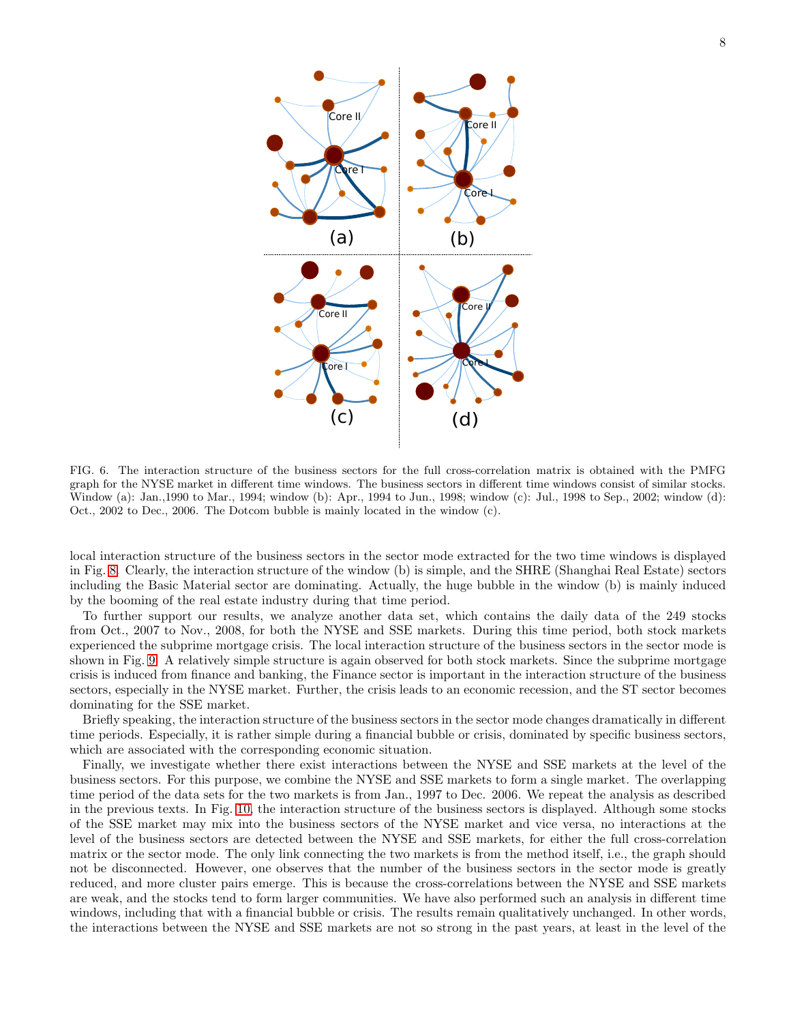

<span id="page-7-0"></span>FIG. 6. The interaction structure of the business sectors for the full cross-correlation matrix is obtained with the PMFG graph for the NYSE market in different time windows. The business sectors in different time windows consist of similar stocks. Window (a): Jan.,1990 to Mar., 1994; window (b): Apr., 1994 to Jun., 1998; window (c): Jul., 1998 to Sep., 2002; window (d): Oct., 2002 to Dec., 2006. The Dotcom bubble is mainly located in the window (c).

local interaction structure of the business sectors in the sector mode extracted for the two time windows is displayed in Fig. [8.](#page-8-1) Clearly, the interaction structure of the window (b) is simple, and the SHRE (Shanghai Real Estate) sectors including the Basic Material sector are dominating. Actually, the huge bubble in the window (b) is mainly induced by the booming of the real estate industry during that time period.

To further support our results, we analyze another data set, which contains the daily data of the 249 stocks from Oct., 2007 to Nov., 2008, for both the NYSE and SSE markets. During this time period, both stock markets experienced the subprime mortgage crisis. The local interaction structure of the business sectors in the sector mode is shown in Fig. [9.](#page-9-0) A relatively simple structure is again observed for both stock markets. Since the subprime mortgage crisis is induced from finance and banking, the Finance sector is important in the interaction structure of the business sectors, especially in the NYSE market. Further, the crisis leads to an economic recession, and the ST sector becomes dominating for the SSE market.

Briefly speaking, the interaction structure of the business sectors in the sector mode changes dramatically in different time periods. Especially, it is rather simple during a financial bubble or crisis, dominated by specific business sectors, which are associated with the corresponding economic situation.

Finally, we investigate whether there exist interactions between the NYSE and SSE markets at the level of the business sectors. For this purpose, we combine the NYSE and SSE markets to form a single market. The overlapping time period of the data sets for the two markets is from Jan., 1997 to Dec. 2006. We repeat the analysis as described in the previous texts. In Fig. [10,](#page-9-1) the interaction structure of the business sectors is displayed. Although some stocks of the SSE market may mix into the business sectors of the NYSE market and vice versa, no interactions at the level of the business sectors are detected between the NYSE and SSE markets, for either the full cross-correlation matrix or the sector mode. The only link connecting the two markets is from the method itself, i.e., the graph should not be disconnected. However, one observes that the number of the business sectors in the sector mode is greatly reduced, and more cluster pairs emerge. This is because the cross-correlations between the NYSE and SSE markets are weak, and the stocks tend to form larger communities. We have also performed such an analysis in different time windows, including that with a financial bubble or crisis. The results remain qualitatively unchanged. In other words, the interactions between the NYSE and SSE markets are not so strong in the past years, at least in the level of the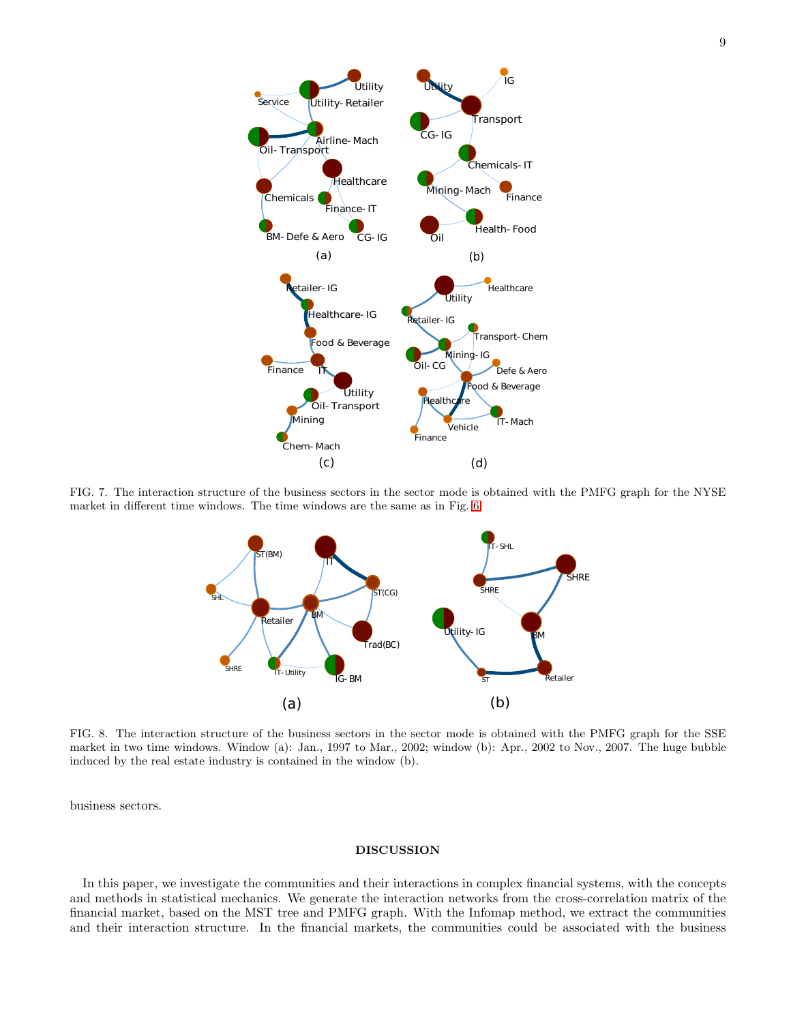

<span id="page-8-0"></span>FIG. 7. The interaction structure of the business sectors in the sector mode is obtained with the PMFG graph for the NYSE market in different time windows. The time windows are the same as in Fig. [6.](#page-7-0)



<span id="page-8-1"></span>FIG. 8. The interaction structure of the business sectors in the sector mode is obtained with the PMFG graph for the SSE market in two time windows. Window (a): Jan., 1997 to Mar., 2002; window (b): Apr., 2002 to Nov., 2007. The huge bubble induced by the real estate industry is contained in the window (b).

business sectors.

### DISCUSSION

In this paper, we investigate the communities and their interactions in complex financial systems, with the concepts and methods in statistical mechanics. We generate the interaction networks from the cross-correlation matrix of the financial market, based on the MST tree and PMFG graph. With the Infomap method, we extract the communities and their interaction structure. In the financial markets, the communities could be associated with the business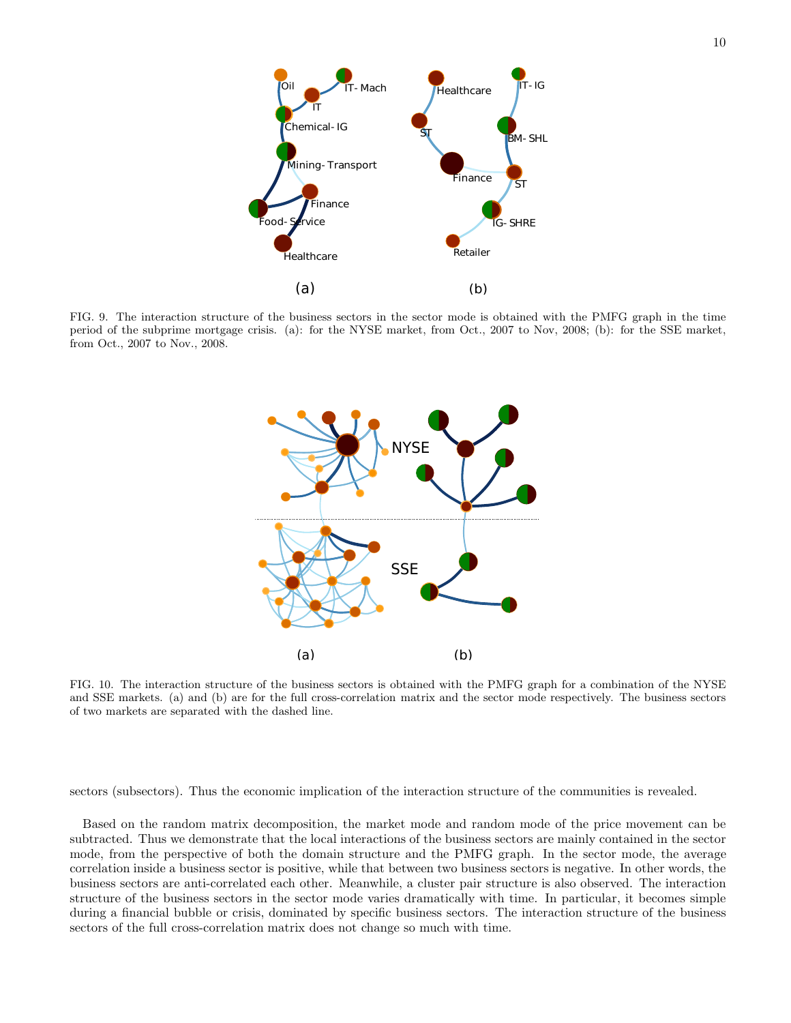

<span id="page-9-0"></span>FIG. 9. The interaction structure of the business sectors in the sector mode is obtained with the PMFG graph in the time period of the subprime mortgage crisis. (a): for the NYSE market, from Oct., 2007 to Nov, 2008; (b): for the SSE market, from Oct., 2007 to Nov., 2008.



<span id="page-9-1"></span>FIG. 10. The interaction structure of the business sectors is obtained with the PMFG graph for a combination of the NYSE and SSE markets. (a) and (b) are for the full cross-correlation matrix and the sector mode respectively. The business sectors of two markets are separated with the dashed line.

sectors (subsectors). Thus the economic implication of the interaction structure of the communities is revealed.

Based on the random matrix decomposition, the market mode and random mode of the price movement can be subtracted. Thus we demonstrate that the local interactions of the business sectors are mainly contained in the sector mode, from the perspective of both the domain structure and the PMFG graph. In the sector mode, the average correlation inside a business sector is positive, while that between two business sectors is negative. In other words, the business sectors are anti-correlated each other. Meanwhile, a cluster pair structure is also observed. The interaction structure of the business sectors in the sector mode varies dramatically with time. In particular, it becomes simple during a financial bubble or crisis, dominated by specific business sectors. The interaction structure of the business sectors of the full cross-correlation matrix does not change so much with time.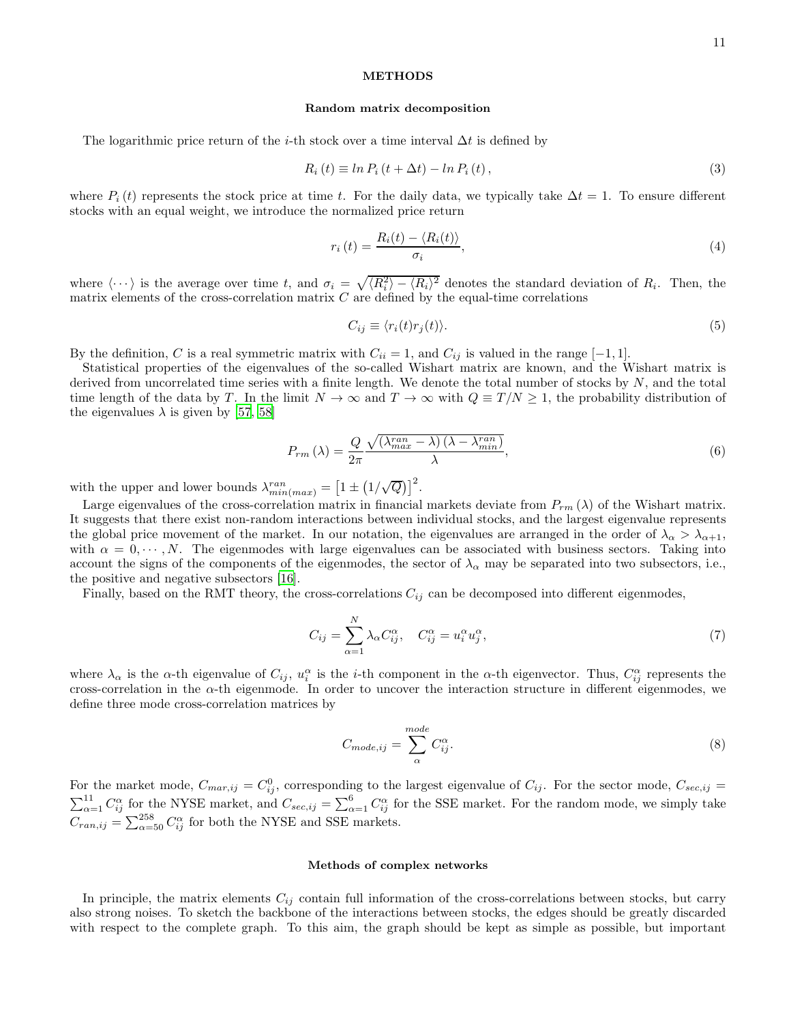## METHODS

### Random matrix decomposition

The logarithmic price return of the *i*-th stock over a time interval  $\Delta t$  is defined by

$$
R_i(t) \equiv \ln P_i(t + \Delta t) - \ln P_i(t), \qquad (3)
$$

where  $P_i(t)$  represents the stock price at time t. For the daily data, we typically take  $\Delta t = 1$ . To ensure different stocks with an equal weight, we introduce the normalized price return

$$
r_i(t) = \frac{R_i(t) - \langle R_i(t) \rangle}{\sigma_i},\tag{4}
$$

where  $\langle \cdots \rangle$  is the average over time t, and  $\sigma_i = \sqrt{\langle R_i^2 \rangle - \langle R_i \rangle^2}$  denotes the standard deviation of  $R_i$ . Then, the matrix elements of the cross-correlation matrix  $C$  are defined by the equal-time correlations

$$
C_{ij} \equiv \langle r_i(t)r_j(t) \rangle. \tag{5}
$$

By the definition, C is a real symmetric matrix with  $C_{ii} = 1$ , and  $C_{ij}$  is valued in the range [-1, 1].

Statistical properties of the eigenvalues of the so-called Wishart matrix are known, and the Wishart matrix is derived from uncorrelated time series with a finite length. We denote the total number of stocks by  $N$ , and the total time length of the data by T. In the limit  $N \to \infty$  and  $T \to \infty$  with  $Q \equiv T/N \ge 1$ , the probability distribution of the eigenvalues  $\lambda$  is given by [\[57,](#page-13-4) [58\]](#page-13-5)

$$
P_{rm}\left(\lambda\right) = \frac{Q}{2\pi} \frac{\sqrt{\left(\lambda_{max}^{ran} - \lambda\right)\left(\lambda - \lambda_{min}^{ran}\right)}}{\lambda},\tag{6}
$$

with the upper and lower bounds  $\lambda_{min(max)}^{ran} = \left[1 \pm (1/\sqrt{Q})\right]^2$ .

Large eigenvalues of the cross-correlation matrix in financial markets deviate from  $P_{rm}( \lambda)$  of the Wishart matrix. It suggests that there exist non-random interactions between individual stocks, and the largest eigenvalue represents the global price movement of the market. In our notation, the eigenvalues are arranged in the order of  $\lambda_{\alpha} > \lambda_{\alpha+1}$ , with  $\alpha = 0, \dots, N$ . The eigenmodes with large eigenvalues can be associated with business sectors. Taking into account the signs of the components of the eigenmodes, the sector of  $\lambda_{\alpha}$  may be separated into two subsectors, i.e., the positive and negative subsectors [\[16](#page-12-9)].

Finally, based on the RMT theory, the cross-correlations  $C_{ij}$  can be decomposed into different eigenmodes,

<span id="page-10-0"></span>
$$
C_{ij} = \sum_{\alpha=1}^{N} \lambda_{\alpha} C_{ij}^{\alpha}, \quad C_{ij}^{\alpha} = u_{i}^{\alpha} u_{j}^{\alpha}, \tag{7}
$$

where  $\lambda_{\alpha}$  is the  $\alpha$ -th eigenvalue of  $C_{ij}$ ,  $u_i^{\alpha}$  is the *i*-th component in the  $\alpha$ -th eigenvector. Thus,  $C_{ij}^{\alpha}$  represents the cross-correlation in the  $\alpha$ -th eigenmode. In order to uncover the interaction structure in different eigenmodes, we define three mode cross-correlation matrices by

<span id="page-10-1"></span>
$$
C_{mode,ij} = \sum_{\alpha}^{mode} C_{ij}^{\alpha}.
$$
 (8)

For the market mode,  $C_{max,ij} = C_{ij}^0$ , corresponding to the largest eigenvalue of  $C_{ij}$ . For the sector mode,  $C_{sec,ij}$  $\sum_{\alpha=1}^{11} C_{ij}^{\alpha}$  for the NYSE market, and  $C_{sec,ij} = \sum_{\alpha=1}^{6} C_{ij}^{\alpha}$  for the SSE market. For the random mode, we simply take  $C_{ran,ij} = \sum_{\alpha=50}^{258} C_{ij}^{\alpha}$  for both the NYSE and SSE markets.

### Methods of complex networks

In principle, the matrix elements  $C_{ij}$  contain full information of the cross-correlations between stocks, but carry also strong noises. To sketch the backbone of the interactions between stocks, the edges should be greatly discarded with respect to the complete graph. To this aim, the graph should be kept as simple as possible, but important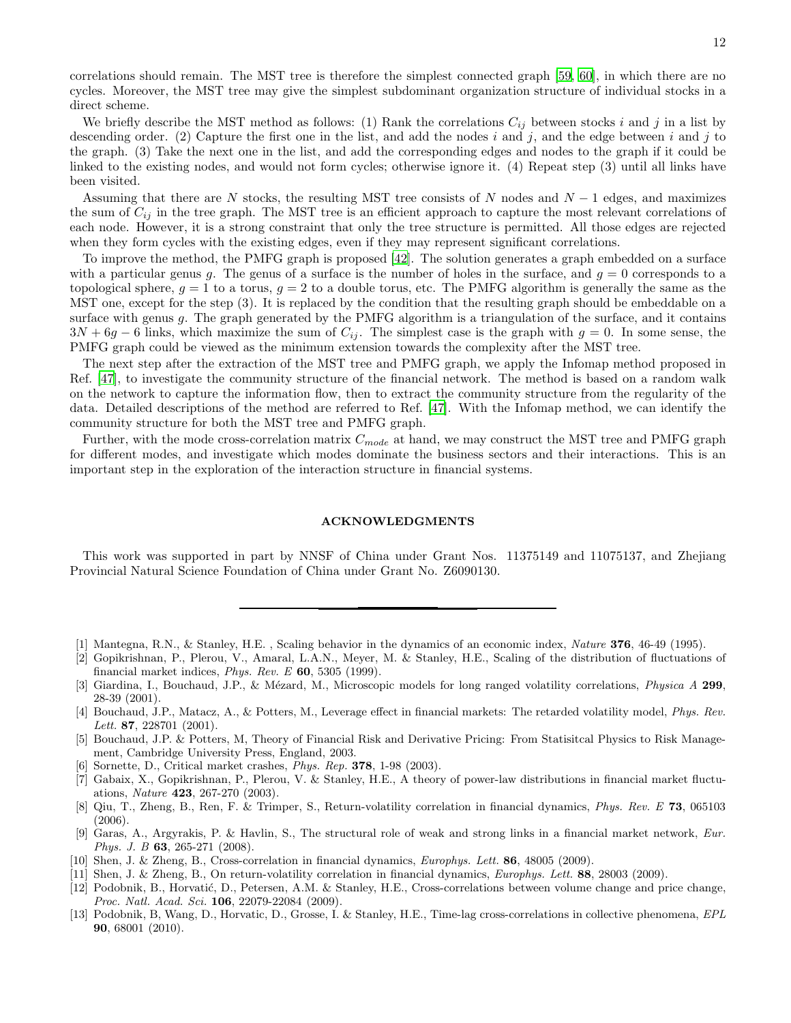correlations should remain. The MST tree is therefore the simplest connected graph [\[59](#page-13-6), [60\]](#page-13-7), in which there are no cycles. Moreover, the MST tree may give the simplest subdominant organization structure of individual stocks in a direct scheme.

We briefly describe the MST method as follows: (1) Rank the correlations  $C_{ij}$  between stocks i and j in a list by descending order. (2) Capture the first one in the list, and add the nodes i and j, and the edge between i and j to the graph. (3) Take the next one in the list, and add the corresponding edges and nodes to the graph if it could be linked to the existing nodes, and would not form cycles; otherwise ignore it. (4) Repeat step (3) until all links have been visited.

Assuming that there are N stocks, the resulting MST tree consists of N nodes and  $N-1$  edges, and maximizes the sum of  $C_{ij}$  in the tree graph. The MST tree is an efficient approach to capture the most relevant correlations of each node. However, it is a strong constraint that only the tree structure is permitted. All those edges are rejected when they form cycles with the existing edges, even if they may represent significant correlations.

To improve the method, the PMFG graph is proposed [\[42](#page-12-14)]. The solution generates a graph embedded on a surface with a particular genus g. The genus of a surface is the number of holes in the surface, and  $g = 0$  corresponds to a topological sphere,  $g = 1$  to a torus,  $g = 2$  to a double torus, etc. The PMFG algorithm is generally the same as the MST one, except for the step (3). It is replaced by the condition that the resulting graph should be embeddable on a surface with genus  $g$ . The graph generated by the PMFG algorithm is a triangulation of the surface, and it contains  $3N + 6g - 6$  links, which maximize the sum of  $C_{ij}$ . The simplest case is the graph with  $g = 0$ . In some sense, the PMFG graph could be viewed as the minimum extension towards the complexity after the MST tree.

The next step after the extraction of the MST tree and PMFG graph, we apply the Infomap method proposed in Ref. [\[47](#page-12-16)], to investigate the community structure of the financial network. The method is based on a random walk on the network to capture the information flow, then to extract the community structure from the regularity of the data. Detailed descriptions of the method are referred to Ref. [\[47\]](#page-12-16). With the Infomap method, we can identify the community structure for both the MST tree and PMFG graph.

Further, with the mode cross-correlation matrix  $C_{mode}$  at hand, we may construct the MST tree and PMFG graph for different modes, and investigate which modes dominate the business sectors and their interactions. This is an important step in the exploration of the interaction structure in financial systems.

### ACKNOWLEDGMENTS

This work was supported in part by NNSF of China under Grant Nos. 11375149 and 11075137, and Zhejiang Provincial Natural Science Foundation of China under Grant No. Z6090130.

- <span id="page-11-0"></span>[1] Mantegna, R.N., & Stanley, H.E. , Scaling behavior in the dynamics of an economic index, Nature 376, 46-49 (1995).
- [2] Gopikrishnan, P., Plerou, V., Amaral, L.A.N., Meyer, M. & Stanley, H.E., Scaling of the distribution of fluctuations of financial market indices, *Phys. Rev. E*  $60$ , 5305 (1999).
- Giardina, I., Bouchaud, J.P., & Mézard, M., Microscopic models for long ranged volatility correlations, *Physica A* 299, 28-39 (2001).
- [4] Bouchaud, J.P., Matacz, A., & Potters, M., Leverage effect in financial markets: The retarded volatility model, Phys. Rev. Lett. **87**, 228701 (2001).
- <span id="page-11-1"></span>[5] Bouchaud, J.P. & Potters, M, Theory of Financial Risk and Derivative Pricing: From Statisitcal Physics to Risk Management, Cambridge University Press, England, 2003.
- [6] Sornette, D., Critical market crashes, Phys. Rep. 378, 1-98 (2003).
- [7] Gabaix, X., Gopikrishnan, P., Plerou, V. & Stanley, H.E., A theory of power-law distributions in financial market fluctuations, Nature 423, 267-270 (2003).
- [8] Qiu, T., Zheng, B., Ren, F. & Trimper, S., Return-volatility correlation in financial dynamics, Phys. Rev. E 73, 065103 (2006).
- [9] Garas, A., Argyrakis, P. & Havlin, S., The structural role of weak and strong links in a financial market network, Eur. Phys. J. B 63, 265-271 (2008).
- <span id="page-11-3"></span>[10] Shen, J. & Zheng, B., Cross-correlation in financial dynamics, *Europhys. Lett.* 86, 48005 (2009).
- [11] Shen, J. & Zheng, B., On return-volatility correlation in financial dynamics, *Europhys. Lett.* 88, 28003 (2009).
- [12] Podobnik, B., Horvatić, D., Petersen, A.M. & Stanley, H.E., Cross-correlations between volume change and price change, Proc. Natl. Acad. Sci. 106, 22079-22084 (2009).
- <span id="page-11-2"></span>[13] Podobnik, B, Wang, D., Horvatic, D., Grosse, I. & Stanley, H.E., Time-lag cross-correlations in collective phenomena, EPL 90, 68001 (2010).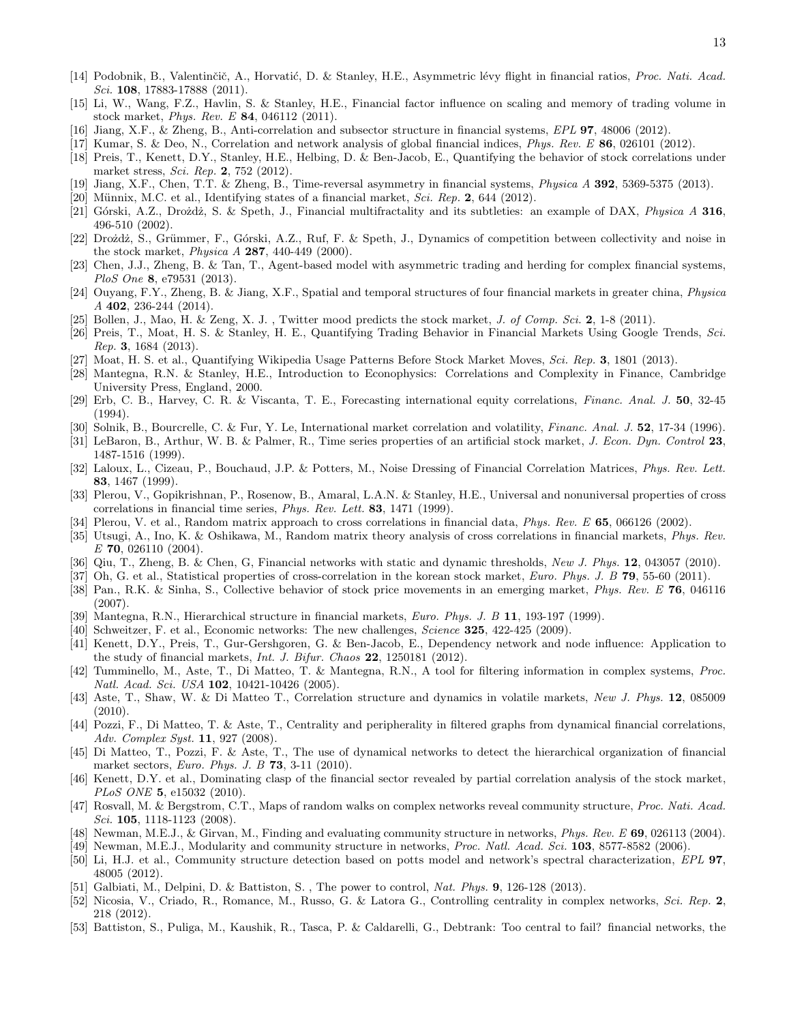- [14] Podobnik, B., Valentinčič, A., Horvatić, D. & Stanley, H.E., Asymmetric lévy flight in financial ratios, Proc. Nati. Acad. Sci. **108**, 17883-17888 (2011).
- [15] Li, W., Wang, F.Z., Havlin, S. & Stanley, H.E., Financial factor influence on scaling and memory of trading volume in stock market, Phys. Rev. E 84, 046112 (2011).
- <span id="page-12-9"></span>[16] Jiang, X.F., & Zheng, B., Anti-correlation and subsector structure in financial systems, EPL 97, 48006 (2012).
- <span id="page-12-13"></span>[17] Kumar, S. & Deo, N., Correlation and network analysis of global financial indices, *Phys. Rev. E* 86, 026101 (2012).
- [18] Preis, T., Kenett, D.Y., Stanley, H.E., Helbing, D. & Ben-Jacob, E., Quantifying the behavior of stock correlations under market stress, Sci. Rep. 2, 752 (2012).
- [19] Jiang, X.F., Chen, T.T. & Zheng, B., Time-reversal asymmetry in financial systems, *Physica A* 392, 5369-5375 (2013).
- [20] Münnix, M.C. et al., Identifying states of a financial market, Sci. Rep. 2, 644 (2012).
- [21] Górski, A.Z., Drożdż, S. & Speth, J., Financial multifractality and its subtleties: an example of DAX, Physica A 316, 496-510 (2002).
- [22] Drożdż, S., Grümmer, F., Górski, A.Z., Ruf, F. & Speth, J., Dynamics of competition between collectivity and noise in the stock market, Physica A 287, 440-449 (2000).
- [23] Chen, J.J., Zheng, B. & Tan, T., Agent-based model with asymmetric trading and herding for complex financial systems, PloS One 8, e79531 (2013).
- <span id="page-12-0"></span>[24] Ouyang, F.Y., Zheng, B. & Jiang, X.F., Spatial and temporal structures of four financial markets in greater china, Physica A 402, 236-244 (2014).
- <span id="page-12-1"></span>[25] Bollen, J., Mao, H. & Zeng, X. J., Twitter mood predicts the stock market, J. of Comp. Sci. 2, 1-8 (2011).
- <span id="page-12-2"></span>[26] Preis, T., Moat, H. S. & Stanley, H. E., Quantifying Trading Behavior in Financial Markets Using Google Trends, Sci. Rep. 3, 1684 (2013).
- <span id="page-12-3"></span>[27] Moat, H. S. et al., Quantifying Wikipedia Usage Patterns Before Stock Market Moves, Sci. Rep. 3, 1801 (2013).
- <span id="page-12-4"></span>[28] Mantegna, R.N. & Stanley, H.E., Introduction to Econophysics: Correlations and Complexity in Finance, Cambridge University Press, England, 2000.
- <span id="page-12-5"></span>[29] Erb, C. B., Harvey, C. R. & Viscanta, T. E., Forecasting international equity correlations, Financ. Anal. J. 50, 32-45 (1994).
- [30] Solnik, B., Bourcrelle, C. & Fur, Y. Le, International market correlation and volatility, *Financ. Anal. J.* 52, 17-34 (1996).
- <span id="page-12-6"></span>[31] LeBaron, B., Arthur, W. B. & Palmer, R., Time series properties of an artificial stock market, J. Econ. Dyn. Control 23, 1487-1516 (1999).
- <span id="page-12-7"></span>[32] Laloux, L., Cizeau, P., Bouchaud, J.P. & Potters, M., Noise Dressing of Financial Correlation Matrices, Phys. Rev. Lett. 83, 1467 (1999).
- [33] Plerou, V., Gopikrishnan, P., Rosenow, B., Amaral, L.A.N. & Stanley, H.E., Universal and nonuniversal properties of cross correlations in financial time series, Phys. Rev. Lett. 83, 1471 (1999).
- [34] Plerou, V. et al., Random matrix approach to cross correlations in financial data, *Phys. Rev. E* 65, 066126 (2002).
- [35] Utsugi, A., Ino, K. & Oshikawa, M., Random matrix theory analysis of cross correlations in financial markets, Phys. Rev. E 70, 026110 (2004).
- [36] Qiu, T., Zheng, B. & Chen, G. Financial networks with static and dynamic thresholds, New J. Phys. 12, 043057 (2010).
- <span id="page-12-8"></span>[37] Oh, G. et al., Statistical properties of cross-correlation in the korean stock market, *Euro. Phys. J. B* 79, 55-60 (2011).
- <span id="page-12-10"></span>[38] Pan., R.K. & Sinha, S., Collective behavior of stock price movements in an emerging market, *Phys. Rev. E* 76, 046116 (2007).
- <span id="page-12-11"></span>[39] Mantegna, R.N., Hierarchical structure in financial markets, Euro. Phys. J. B 11, 193-197 (1999).
- [40] Schweitzer, F. et al., Economic networks: The new challenges, Science 325, 422-425 (2009).
- <span id="page-12-12"></span>[41] Kenett, D.Y., Preis, T., Gur-Gershgoren, G. & Ben-Jacob, E., Dependency network and node influence: Application to the study of financial markets, Int. J. Bifur. Chaos 22, 1250181 (2012).
- <span id="page-12-14"></span>[42] Tumminello, M., Aste, T., Di Matteo, T. & Mantegna, R.N., A tool for filtering information in complex systems, Proc. Natl. Acad. Sci. USA **102**, 10421-10426 (2005).
- <span id="page-12-19"></span>[43] Aste, T., Shaw, W. & Di Matteo T., Correlation structure and dynamics in volatile markets, New J. Phys. 12, 085009 (2010).
- [44] Pozzi, F., Di Matteo, T. & Aste, T., Centrality and peripherality in filtered graphs from dynamical financial correlations, Adv. Complex Syst. 11, 927 (2008).
- [45] Di Matteo, T., Pozzi, F. & Aste, T., The use of dynamical networks to detect the hierarchical organization of financial market sectors, *Euro. Phys. J. B* **73**, 3-11 (2010).
- <span id="page-12-15"></span>[46] Kenett, D.Y. et al., Dominating clasp of the financial sector revealed by partial correlation analysis of the stock market, PLoS ONE 5, e15032 (2010).
- <span id="page-12-16"></span>[47] Rosvall, M. & Bergstrom, C.T., Maps of random walks on complex networks reveal community structure, Proc. Nati. Acad. Sci. **105**, 1118-1123 (2008).
- [48] Newman, M.E.J., & Girvan, M., Finding and evaluating community structure in networks, Phys. Rev. E 69, 026113 (2004).
- [49] Newman, M.E.J., Modularity and community structure in networks, Proc. Natl. Acad. Sci. 103, 8577-8582 (2006).
- <span id="page-12-17"></span>[50] Li, H.J. et al., Community structure detection based on potts model and network's spectral characterization, EPL 97, 48005 (2012).
- <span id="page-12-18"></span>[51] Galbiati, M., Delpini, D. & Battiston, S., The power to control, Nat. Phys. 9, 126-128 (2013).
- [52] Nicosia, V., Criado, R., Romance, M., Russo, G. & Latora G., Controlling centrality in complex networks, Sci. Rep. 2, 218 (2012).
- [53] Battiston, S., Puliga, M., Kaushik, R., Tasca, P. & Caldarelli, G., Debtrank: Too central to fail? financial networks, the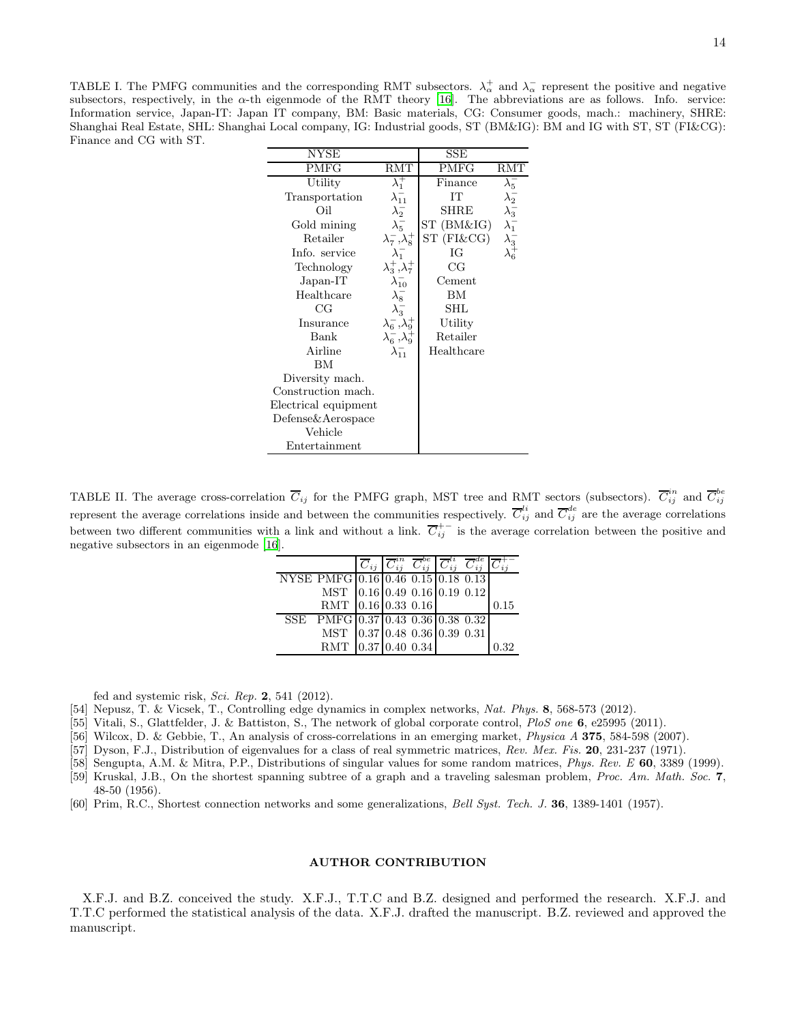<span id="page-13-1"></span>TABLE I. The PMFG communities and the corresponding RMT subsectors.  $\lambda^+_{\alpha}$  and  $\lambda^-_{\alpha}$  represent the positive and negative subsectors, respectively, in the  $\alpha$ -th eigenmode of the RMT theory [\[16](#page-12-9)]. The abbreviations are as follows. Info. service: Information service, Japan-IT: Japan IT company, BM: Basic materials, CG: Consumer goods, mach.: machinery, SHRE: Shanghai Real Estate, SHL: Shanghai Local company, IG: Industrial goods, ST (BM&IG): BM and IG with ST, ST (FI&CG): Finance and CG with ST.

| NYSE                 |                           | $_{\rm SSE}$ |                                                   |
|----------------------|---------------------------|--------------|---------------------------------------------------|
| PMFG                 | RMT                       | PMFG         | RMT                                               |
| Utility              | $\lambda_1^+$             | Finance      |                                                   |
| Transportation       | $\lambda_{11}^-$          | IТ           |                                                   |
| Oil                  | $\lambda_2^-$             | SHRE         |                                                   |
| Gold mining          | $\lambda_5^-$             | ST (BM&IG)   | $\lambda_5^-\lambda_2^-\lambda_3^- \ \lambda_3^-$ |
| Retailer             | $\lambda_7^-,\lambda_8^+$ | ST (FI&CG)   |                                                   |
| Info. service        | $\lambda_1^-$             | IG           |                                                   |
| Technology           | $\lambda_3^+,\lambda_7^+$ | CG           |                                                   |
| Japan-IT             | $\lambda_{10}^-$          | Cement       |                                                   |
| Healthcare           | $\lambda_8^-$             | ΒM           |                                                   |
| CG                   | $\lambda_3^-$             | SHL          |                                                   |
| Insurance            | $\lambda_6^-,\lambda_9^+$ | Utility      |                                                   |
| Bank                 | $\lambda_6^-,\lambda_9^+$ | Retailer     |                                                   |
| Airline              | $\lambda_{11}^-$          | Healthcare   |                                                   |
| BМ                   |                           |              |                                                   |
| Diversity mach.      |                           |              |                                                   |
| Construction mach.   |                           |              |                                                   |
| Electrical equipment |                           |              |                                                   |
| Defense&Aerospace    |                           |              |                                                   |
| Vehicle              |                           |              |                                                   |
| Entertainment        |                           |              |                                                   |

<span id="page-13-2"></span>TABLE II. The average cross-correlation  $\overline{C}_{ij}$  for the PMFG graph, MST tree and RMT sectors (subsectors).  $\overline{C}_{ij}^{in}$  and  $\overline{C}_{ij}^{be}$ represent the average correlations inside and between the communities respectively.  $\overline{C}_{ij}^{li}$  and  $\overline{C}_{ij}^{de}$  are the average correlations between two different communities with a link and without a link.  $\overline{C}_{ij}^{+-}$  is the average correlation between the positive and negative subsectors in an eigenmode [\[16](#page-12-9)].

|                                    |  | $\overline{C}_{ij}$ $\overline{C}_{ij}^{in}$ $\overline{C}_{ij}^{be}$ $\overline{C}_{ij}^{li}$ $\overline{C}_{ij}^{de}$ |  |      |
|------------------------------------|--|-------------------------------------------------------------------------------------------------------------------------|--|------|
| NYSE PMFG 0.16 0.46 0.15 0.18 0.13 |  |                                                                                                                         |  |      |
| MST 0.16 0.49 0.16 0.19 0.12       |  |                                                                                                                         |  |      |
| RMT 0.16 0.33 0.16                 |  |                                                                                                                         |  | 0.15 |
| SSE PMFG 0.37 0.43 0.36 0.38 0.32  |  |                                                                                                                         |  |      |
| MST 0.37 0.48 0.36 0.39 0.31       |  |                                                                                                                         |  |      |
| RMT 0.37 0.40 0.34                 |  |                                                                                                                         |  | 0.32 |

fed and systemic risk, Sci. Rep.  $2, 541$  (2012).

[54] Nepusz, T. & Vicsek, T., Controlling edge dynamics in complex networks, Nat. Phys. 8, 568-573 (2012).

<span id="page-13-3"></span>[55] Vitali, S., Glattfelder, J. & Battiston, S., The network of global corporate control, PloS one 6, e25995 (2011).

<span id="page-13-0"></span>[56] Wilcox, D. & Gebbie, T., An analysis of cross-correlations in an emerging market, *Physica A* 375, 584-598 (2007).

- <span id="page-13-4"></span>[57] Dyson, F.J., Distribution of eigenvalues for a class of real symmetric matrices, Rev. Mex. Fis. 20, 231-237 (1971).
- <span id="page-13-5"></span>[58] Sengupta, A.M. & Mitra, P.P., Distributions of singular values for some random matrices, *Phys. Rev. E* 60, 3389 (1999).
- <span id="page-13-6"></span>[59] Kruskal, J.B., On the shortest spanning subtree of a graph and a traveling salesman problem, Proc. Am. Math. Soc. 7, 48-50 (1956).
- <span id="page-13-7"></span>[60] Prim, R.C., Shortest connection networks and some generalizations, Bell Syst. Tech. J. 36, 1389-1401 (1957).

### AUTHOR CONTRIBUTION

X.F.J. and B.Z. conceived the study. X.F.J., T.T.C and B.Z. designed and performed the research. X.F.J. and T.T.C performed the statistical analysis of the data. X.F.J. drafted the manuscript. B.Z. reviewed and approved the manuscript.